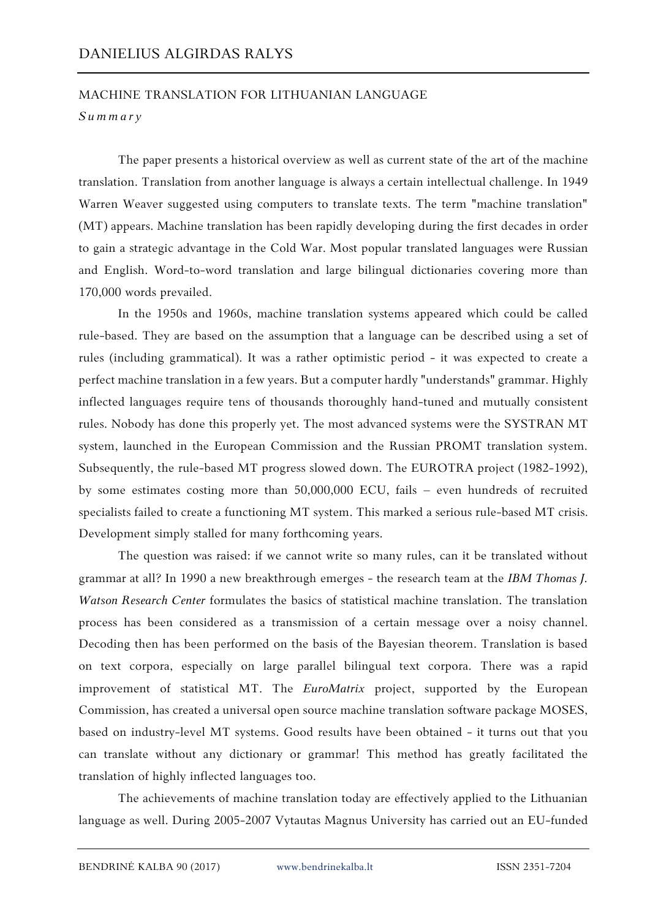## MACHINE TRANSLATION FOR LITHUANIAN LANGUAGE

## *S u m m a r y*

The paper presents a historical overview as well as current state of the art of the machine translation. Translation from another language is always a certain intellectual challenge. In 1949 Warren Weaver suggested using computers to translate texts. The term "machine translation" (MT) appears. Machine translation has been rapidly developing during the first decades in order to gain a strategic advantage in the Cold War. Most popular translated languages were Russian and English. Word-to-word translation and large bilingual dictionaries covering more than 170,000 words prevailed.

In the 1950s and 1960s, machine translation systems appeared which could be called rule-based. They are based on the assumption that a language can be described using a set of rules (including grammatical). It was a rather optimistic period - it was expected to create a perfect machine translation in a few years. But a computer hardly "understands" grammar. Highly inflected languages require tens of thousands thoroughly hand-tuned and mutually consistent rules. Nobody has done this properly yet. The most advanced systems were the SYSTRAN MT system, launched in the European Commission and the Russian PROMT translation system. Subsequently, the rule-based MT progress slowed down. The EUROTRA project (1982-1992), by some estimates costing more than 50,000,000 ECU, fails – even hundreds of recruited specialists failed to create a functioning MT system. This marked a serious rule-based MT crisis. Development simply stalled for many forthcoming years.

The question was raised: if we cannot write so many rules, can it be translated without grammar at all? In 1990 a new breakthrough emerges - the research team at the *IBM Thomas J. Watson Research Center* formulates the basics of statistical machine translation. The translation process has been considered as a transmission of a certain message over a noisy channel. Decoding then has been performed on the basis of the Bayesian theorem. Translation is based on text corpora, especially on large parallel bilingual text corpora. There was a rapid improvement of statistical MT. The *EuroMatrix* project, supported by the European Commission, has created a universal open source machine translation software package MOSES, based on industry-level MT systems. Good results have been obtained - it turns out that you can translate without any dictionary or grammar! This method has greatly facilitated the translation of highly inflected languages too.

The achievements of machine translation today are effectively applied to the Lithuanian language as well. During 2005-2007 Vytautas Magnus University has carried out an EU-funded